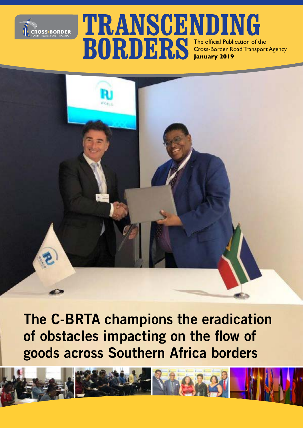

### **TRANSCENDING BORDERS** The official Publication of the Cross-Border Road Transpor Cross-Border Road Transport Agency **January 2019**

**The C-BRTA champions the eradication of obstacles impacting on the flow of goods across Southern Africa borders**

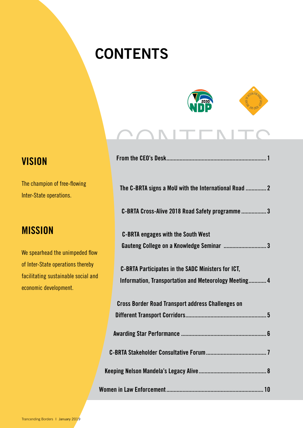# **CONTENTS**



# CONTENTS<br>Erom the CEO's Desk

| The C-BRTA signs a MoU with the International Road  2    |
|----------------------------------------------------------|
| C-BRTA Cross-Alive 2018 Road Safety programme3           |
| <b>C-BRTA engages with the South West</b>                |
| Gauteng College on a Knowledge Seminar  3                |
| C-BRTA Participates in the SADC Ministers for ICT,       |
| Information, Transportation and Meteorology Meeting 4    |
| <b>Cross Border Road Transport address Challenges on</b> |
|                                                          |
|                                                          |
|                                                          |
|                                                          |
|                                                          |

### **VISION**

The champion of free-flowing Inter-State operations.

### **MISSION**

We spearhead the unimpeded flow of Inter-State operations thereby facilitating sustainable social and economic development.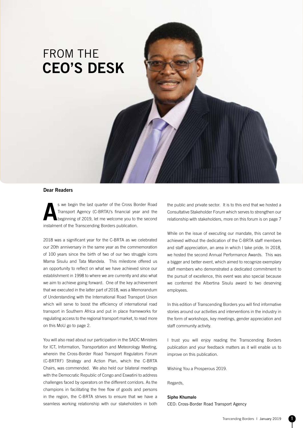## FROM THE **CEO'S DESK**

#### **Dear Readers**

**As we begin the last quarter of the Cross Border Road Transport Agency (C-BRTA)'s financial year and the beginning of 2019, let me welcome you to the second** Transport Agency (C-BRTA)'s financial year and the instalment of the Transcending Borders publication.

2018 was a significant year for the C-BRTA as we celebrated our 20th anniversary in the same year as the commemoration of 100 years since the birth of two of our two struggle icons Mama Sisulu and Tata Mandela. This milestone offered us an opportunity to reflect on what we have achieved since our establishment in 1998 to where we are currently and also what we aim to achieve going forward. One of the key achievement that we executed in the latter part of 2018, was a Memorandum of Understanding with the International Road Transport Union which will serve to boost the efficiency of international road transport in Southern Africa and put in place frameworks for regulating access to the regional transport market, to read more on this MoU go to page 2.

You will also read about our participation in the SADC Ministers for ICT, Information, Transportation and Meteorology Meeting, wherein the Cross-Border Road Transport Regulators Forum (C-BRTRF) Strategy and Action Plan, which the C-BRTA Chairs, was commended. We also held our bilateral meetings with the Democratic Republic of Congo and Eswatini to address challenges faced by operators on the different corridors. As the champions in facilitating the free flow of goods and persons in the region, the C-BRTA strives to ensure that we have a seamless working relationship with our stakeholders in both

the public and private sector. It is to this end that we hosted a Consultative Stakeholder Forum which serves to strengthen our relationship with stakeholders, more on this forum is on page 7

While on the issue of executing our mandate, this cannot be achieved without the dedication of the C-BRTA staff members and staff appreciation, an area in which I take pride. In 2018, we hosted the second Annual Performance Awards. This was a bigger and better event, which aimed to recognize exemplary staff members who demonstrated a dedicated commitment to the pursuit of excellence, this event was also special because we conferred the Albertina Sisulu award to two deserving employees.

In this edition of Transcending Borders you will find informative stories around our activities and interventions in the industry in the form of workshops, key meetings, gender appreciation and staff community activity.

I trust you will enjoy reading the Transcending Borders publication and your feedback matters as it will enable us to improve on this publication.

Wishing You a Prosperous 2019.

Regards,

#### **Sipho Khumalo**

CEO: Cross-Border Road Transport Agency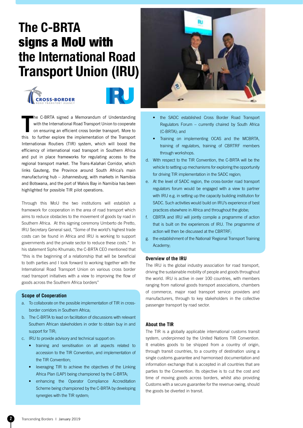# **The C-BRTA**  signs a MoU with **the International Road Transport Union (IRU)**





**T** he C-BRTA signed a Memorandum of Understanding with the International Road Transport Union to cooperate on ensuring an efficient cross border transport. More to this to further explore the implementation of the Transport Internationax Routiers (TIR) system, which will boost the efficiency of international road transport in Southern Africa and put in place frameworks for regulating access to the regional transport market. The Trans-Kalahari Corridor, which links Gauteng, the Province around South Africa's main manufacturing hub – Johannesburg, with markets in Namibia and Botswana, and the port of Walvis Bay in Namibia has been highlighted for possible TIR pilot operations.

Through this MoU the two institutions will establish a framework for cooperation in the area of road transport which aims to reduce obstacles to the movement of goods by road in Southern Africa. At this signing ceremony Umberto de Pretto, IRU Secretary General said, "Some of the world's highest trade costs can be found in Africa and IRU is working to support governments and the private sector to reduce these costs." In his statement Sipho Khumalo, the C-BRTA CEO mentioned that "this is the beginning of a relationship that will be beneficial to both parties and I look forward to working together with the International Road Transport Union on various cross border road transport initiatives with a view to improving the flow of goods across the Southern Africa borders"

#### **Scope of Cooperation**

- a. To collaborate on the possible implementation of TIR in crossborder corridors in Southern Africa;
- b. The C-BRTA to lead on facilitation of discussions with relevant Southern African stakeholders in order to obtain buy in and support for TIR;
- c. IRU to provide advisory and technical support on:
	- training and sensitisation on all aspects related to accession to the TIR Convention, and implementation of the TIR Convention;
	- leveraging TIR to achieve the objectives of the Linking Africa Plan (LAP) being championed by the C-BRTA;
	- enhancing the Operator Compliance Accreditation Scheme being championed by the C-BRTA by developing synergies with the TIR system;



- the SADC established Cross Border Road Transport Regulators Forum – currently chaired by South Africa (C-BRTA); and
- Training on implementing OCAS and the MCBRTA, training of regulators, training of CBRTRF members through workshops.
- d. With respect to the TIR Convention, the C-BRTA will be the vehicle to setting up mechanisms for exploring the opportunity for driving TIR implementation in the SADC region;
- e. At the level of SADC region, the cross-border road transport regulators forum would be engaged with a view to partner with IRU e.g. in setting up the capacity building institution for SADC. Such activities would build on IRU's experience of best practices elsewhere in Africa and throughout the globe;
- f. CBRTA and IRU will jointly compile a programme of action that is built on the experiences of IRU. The programme of action will then be discussed at the CBRTRF;
- g. the establishment of the National/ Regional Transport Training Academy;

#### **Overview of the IRU**

The IRU is the global industry association for road transport, driving the sustainable mobility of people and goods throughout the world. IRU is active in over 100 countries, with members ranging from national goods transport associations, chambers of commerce, major road transport service providers and manufacturers, through to key stakeholders in the collective passenger transport by road sector.

#### **About the TIR**

The TIR is a globally applicable international customs transit system, underpinned by the United Nations TIR Convention. It enables goods to be shipped from a country of origin, through transit countries, to a country of destination using a single customs guarantee and harmonised documentation and information exchange that is accepted in all countries that are parties to the Convention. Its objective is to cut the cost and time of moving goods across borders, whilst also providing Customs with a secure guarantee for the revenue owing, should the goods be diverted in transit.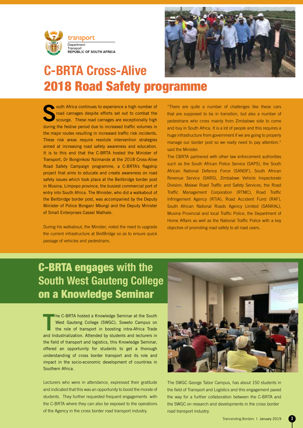



### **C-BRTA Cross-Alive**  2018 Road Safety programme

**South Africa continues to experience a high number of road carnages despite efforts set out to combat the scourge. These road carnages are exceptionally high** road carnages despite efforts set out to combat the during the festive period due to increased traffic volumes in the major routes resulting in increased traffic risk incidents. These risk areas require resolute intervention strategies aimed at increasing road safety awareness and education. It is to this end that the C-BRTA hosted the Minister of Transport, Dr Bonginkosi Nzimande at the 2018 Cross-Alive Road Safety Campaign programme, a C-BRTA's flagship project that aims to educate and create awareness on road safety issues which took place at the Beitbridge border post in Musina, Limpopo province, the busiest commercial port of entry into South Africa. The Minister, who did a walkabout of the Beitbridge border post, was accompanied by the Deputy Minister of Police Bongani Mkongi and the Deputy Minister of Small Enterprises Cassel Mathale.

During his walkabout, the Minister, noted the need to upgrade the current infrastructure at BeitBridge so as to ensure quick passage of vehicles and pedestrians.

"There are quite a number of challenges like these cars that are supposed to be in transition, but also a number of pedestrians who cross mainly from Zimbabwe side to come and buy in South Africa. It is a lot of people and this requires a huge infrastructure from government if we are going to properly manage our border post so we really need to pay attention." said the Minister.

The CBRTA partnered with other law enforcement authorities such as the South African Police Service (SAPS), the South African National Defence Force (SANDF), South African Revenue Service (SARS), Zimbabwe Vehicle Inspectorate Division, Malawi Road Traffic and Safety Services, the Road Traffic Management Corporation (RTMC), Road Traffic Infringement Agency (RTIA), Road Accident Fund (RAF), South African National Roads Agency Limited (SANRAL), Musina Provincial and local Traffic Police, the Department of Home Affairs as well as the National Traffic Police with a key objective of promoting road safety to all road users.

### C-BRTA engages **with the South West Gauteng College**  on a Knowledge Seminar

**T** he C-BRTA hosted a Knowledge Seminar at the South West Gauteng College (SWGC), Soweto Campus on the role of transport in boosting intra-Africa Trade and Industrialization. Attended by students and lecturers in the field of transport and logistics, this Knowledge Seminar, offered an opportunity for students to get a thorough understanding of cross border transport and its role and impact in the socio-economic development of countries in Southern Africa.

Lecturers who were in attendance, expressed their gratitude and indicated that this was an opportunity to boost the morale of students. They further requested frequent engagements with the C-BRTA where they can also be exposed to the operations of the Agency in the cross border road transport industry.



The SWGC George Tabor Campus, has about 150 students in the field of Transport and Logistics and this engagement paved the way for a further collaboration between the C-BRTA and the SWGC on research and developments in the cross border road transport industry.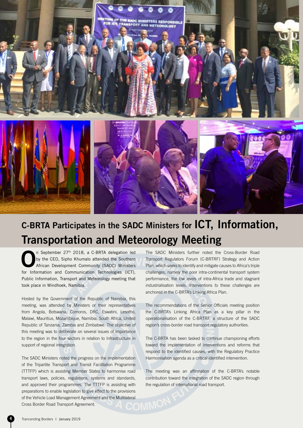

### **C-BRTA Participates in the SADC Ministers for ICT, Information, Transportation and Meteorology Meeting**

**O**n September 27<sup>th</sup> 2018, a C-BRTA delegation led<br>by the CEO, Sipho Khumalo attended the Southern<br>African Development Community (SADC) Ministers by the CEO, Sipho Khumalo attended the Southern for Information and Communication Technologies (ICT), Public Information, Transport and Meteorology meeting that took place in Windhoek, Namibia.

Hosted by the Government of the Republic of Namibia, this meeting, was attended by Ministers or their representatives from Angola, Botswana, Comoros, DRC, Eswatini, Lesotho, Malawi, Mauritius, Mozambique, Namibia, South Africa, United Republic of Tanzania, Zambia and Zimbabwe. The objective of this meeting was to deliberate on several issues of importance to the region in the four sectors in relation to Infrastructure in support of regional integration.

The SADC Ministers noted the progress on the implementation of the Tripartite Transport and Transit Facilitation Programme (TTTFP) which is assisting Member States to harmonise road transport laws, policies, regulations, systems and standards, and approved their programmes. The TTTFP is assisting with preparations to enable legislation to give effect to the provisions of the Vehicle Load Management Agreement and the Multilateral<br>Cross Border Road Transport Agreement. Cross Border Road Transport Agreement.

The SADC Ministers further noted the Cross-Border Road Transport Regulators Forum (C-BRTRF) Strategy and Action Plan, which seeks to identify and mitigate causes to Africa's triple challenges, namely the poor intra-continental transport system performance, the low levels of intra-Africa trade and stagnant industrialisation levels. Interventions to these challenges are anchored in the C-BRTA's Linking Africa Plan.

The recommendations of the Senior Officials meeting position the C-BRTA's Linking Africa Plan as a key pillar in the operationalisation of the C-BRTRF, a structure of the SADC region's cross-border road transport regulatory authorities.

The C-BRTA has been tasked to continue championing efforts toward the implementation of interventions and reforms that respond to the identified causes, with the Regulatory Practice Harmonisation agenda as a critical identified intervention.

The meeting was an affirmation of the C-BRTA's notable contribution toward the integration of the SADC region through the regulation of international road transport.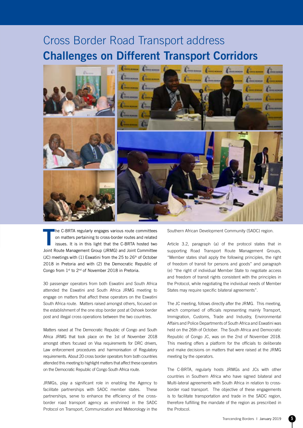### Cross Border Road Transport address **Challenges on Different Transport Corridors**



**T** he C-BRTA regularly engages various route committees on matters pertaining to cross-border routes and related issues. It is in this light that the C-BRTA hosted two Joint Route Management Group (JRMG) and Joint Committee (JC) meetings with  $(1)$  Eswatini from the 25 to 26<sup>th</sup> of October 2018 in Pretoria and with (2) the Democratic Republic of Congo from 1st to 2nd of November 2018 in Pretoria.

30 passenger operators from both Eswatini and South Africa attended the Eswatini and South Africa JRMG meeting to engage on matters that affect these operators on the Eswatini South Africa route. Matters raised amongst others, focused on the establishment of the one stop border post at Oshoek border post and illegal cross operations between the two countries.

Matters raised at The Democratic Republic of Congo and South Africa JRMG that took place on the 1st of November 2018 amongst others focused on Visa requirements for DRC drivers, Law enforcement procedures and harmonisation of Regulatory requirements. About 20 cross border operators from both countries attended this meeting to highlight matters that affect these operators on the Democratic Republic of Congo South Africa route.

JRMGs, play a significant role in enabling the Agency to facilitate partnerships with SADC member states. These partnerships, serve to enhance the efficiency of the crossborder road transport agency as enshrined in the SADC Protocol on Transport, Communication and Meteorology in the Southern African Development Community (SADC) region.

Article 3.2, paragraph (a) of the protocol states that in supporting Road Transport Route Management Groups, "Member states shall apply the following principles, the right of freedom of transit for persons and goods" and paragraph (e) "the right of individual Member State to negotiate access and freedom of transit rights consistent with the principles in the Protocol, while negotiating the individual needs of Member States may require specific bilateral agreements".

The JC meeting, follows directly after the JRMG. This meeting, which comprised of officials representing mainly Transport, Immigration, Customs, Trade and Industry, Environmental Affairs and Police Departments of South Africa and Eswatini was held on the 26th of October. The South Africa and Democratic Republic of Congo JC, was on the 2nd of November 2018. This meeting offers a platform for the officials to deliberate and make decisions on matters that were raised at the JRMG meeting by the operators.

The C-BRTA, regularly hosts JRMGs and JCs with other countries in Southern Africa who have signed bilateral and Multi-lateral agreements with South Africa in relation to crossborder road transport. The objective of these engagements is to facilitate transportation and trade in the SADC region, therefore fulfilling the mandate of the region as prescribed in the Protocol.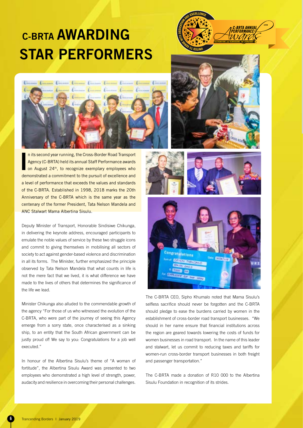# **C-BRTA AWARDING STAR PERFORMERS**





**I** n its second year running, the Cross-Border Road Transport Agency (C-BRTA) held its annual Staff Performance awards on August 24<sup>th</sup>, to recognize exemplary employees who demonstrated a commitment to the pursuit of excellence and a level of performance that exceeds the values and standards of the C-BRTA. Established in 1998, 2018 marks the 20th Anniversary of the C-BRTA which is the same year as the centenary of the former President, Tata Nelson Mandela and ANC Stalwart Mama Albertina Sisulu.

Deputy Minister of Transport, Honorable Sindisiwe Chikunga, in delivering the keynote address, encouraged participants to emulate the noble values of service by these two struggle icons and commit to giving themselves in mobilising all sectors of society to act against gender-based violence and discrimination in all its forms. The Minister, further emphasized the principle observed by Tata Nelson Mandela that what counts in life is not the mere fact that we lived, it is what difference we have made to the lives of others that determines the significance of the life we lead.

Minister Chikunga also alluded to the commendable growth of the agency "For those of us who witnessed the evolution of the C-BRTA, who were part of the journey of seeing this Agency emerge from a sorry state, once characterised as a sinking ship, to an entity that the South African government can be justly proud of! We say to you: Congratulations for a job well executed."

In honour of the Albertina Sisulu's theme of "A woman of fortitude", the Albertina Sisulu Award was presented to two employees who demonstrated a high level of strength, power, audacity and resilience in overcoming their personal challenges.







The C-BRTA CEO, Sipho Khumalo noted that Mama Sisulu's selfless sacrifice should never be forgotten and the C-BRTA should pledge to ease the burdens carried by women in the establishment of cross-border road transport businesses. "We should in her name ensure that financial institutions across the region are geared towards lowering the costs of funds for women businesses in road transport. In the name of this leader and stalwart, let us commit to reducing taxes and tariffs for women-run cross-border transport businesses in both freight and passenger transportation."

The C-BRTA made a donation of R10 000 to the Albertina Sisulu Foundation in recognition of its strides.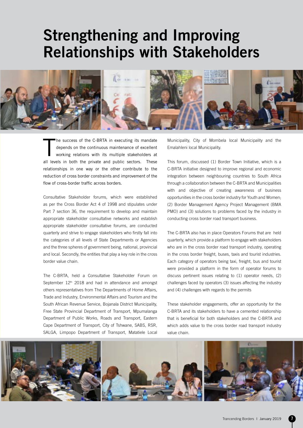# **Strengthening and Improving Relationships with Stakeholders**



T he success of the C-BRTA in executing its mandate depends on the continuous maintenance of excellent working relations with its multiple stakeholders at all levels in both the private and public sectors. These relationships in one way or the other contribute to the reduction of cross border constraints and improvement of the flow of cross-border traffic across borders.

Consultative Stakeholder forums, which were established as per the Cross Border Act 4 of 1998 and stipulates under Part 7 section 36, the requirement to develop and maintain appropriate stakeholder consultative networks and establish appropriate stakeholder consultative forums, are conducted quarterly and strive to engage stakeholders who firstly fall into the categories of all levels of State Departments or Agencies and the three spheres of government being, national, provincial and local. Secondly, the entities that play a key role in the cross border value chain.

The C-BRTA, held a Consultative Stakeholder Forum on September 12<sup>th</sup> 2018 and had in attendance and amongst others representatives from The Departments of Home Affairs, Trade and Industry, Environmental Affairs and Tourism and the South African Revenue Service, Bojanala District Municipality, Free State Provincial Department of Transport, Mpumalanga Department of Public Works, Roads and Transport, Eastern Cape Department of Transport, City of Tshwane, SABS, RSR, SALGA, Limpopo Department of Transport, Matatiele Local

Municipality, City of Mombela local Municipality and the Emalahleni local Municipality.

This forum, discussed (1) Border Town Initiative, which is a C-BRTA initiative designed to improve regional and economic integration between neighbouring countries to South Africa through a collaboration between the C-BRTA and Municipalities with and objective of creating awareness of business opportunities in the cross border industry for Youth and Women; (2) Border Management Agency Project Management (BMA PMO) and (3) solutions to problems faced by the industry in conducting cross border road transport business.

The C-BRTA also has in place Operators Forums that are held quarterly, which provide a platform to engage with stakeholders who are in the cross border road transport industry, operating in the cross border freight, buses, taxis and tourist industries. Each category of operators being taxi, freight, bus and tourist were provided a platform in the form of operator forums to discuss pertinent issues relating to (1) operator needs, (2) challenges faced by operators (3) issues affecting the industry and (4) challenges with regards to the permits

These stakeholder engagements, offer an opportunity for the C-BRTA and its stakeholders to have a cemented relationship that is beneficial for both stakeholders and the C-BRTA and which adds value to the cross border road transport industry value chain.

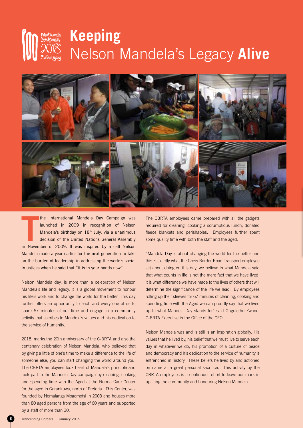# **Keeping**  Nelson Mandela's Legacy **Alive**



the International Mandela Day Campaign was<br>
launched in 2009 in recognition of Nelson<br>
Mandela's birthday on 18<sup>th</sup> July, via a unanimous<br>
decision of the United Nations General Assembly<br>
in November of 2009. It was inspir the International Mandela Day Campaign was launched in 2009 in recognition of Nelson Mandela's birthday on 18<sup>th</sup> July, via a unanimous decision of the United Nations General Assembly Mandela made a year earlier for the next generation to take on the burden of leadership in addressing the world's social injustices when he said that "it is in your hands now".

Nelson Mandela day, is more than a celebration of Nelson Mandela's life and legacy, it is a global movement to honour his life's work and to change the world for the better. This day further offers an opportunity to each and every one of us to spare 67 minutes of our time and engage in a community activity that ascribes to Mandela's values and his dedication to the service of humanity.

2018, marks the 20th anniversary of the C-BRTA and also the centenary celebration of Nelson Mandela, who believed that by giving a little of one's time to make a difference to the life of someone else, you can start changing the world around you. The CBRTA employees took heart of Mandela's principle and took part in the Mandela Day campaign by cleaning, cooking and spending time with the Aged at the Norma Care Center for the aged in Garankuwa, north of Pretoria. This Center, was founded by Nomalanga Mogomotsi in 2003 and houses more than 80 aged persons from the age of 60 years and supported by a staff of more than 30.

The CBRTA employees came prepared with all the gadgets required for cleaning, cooking a scrumptious lunch, donated fleece blankets and perishables. Employees further spent some quality time with both the staff and the aged.

"Mandela Day is about changing the world for the better and this is exactly what the Cross Border Road Transport employee set about doing on this day, we believe in what Mandela said that what counts in life is not the mere fact that we have lived, it is what difference we have made to the lives of others that will determine the significance of the life we lead. By employees rolling up their sleeves for 67 minutes of cleaning, cooking and spending time with the Aged we can proudly say that we lived up to what Mandela Day stands for" said Gugulethu Zwane, C-BRTA Executive in the Office of the CEO.

Nelson Mandela was and is still is an inspiration globally. His values that he lived by, his belief that we must live to serve each day in whatever we do, his promotion of a culture of peace and democracy and his dedication to the service of humanity is entrenched in history. These beliefs he lived by and actioned on came at a great personal sacrifice. This activity by the CBRTA employees is a continuous effort to leave our mark in uplifting the community and honouring Nelson Mandela.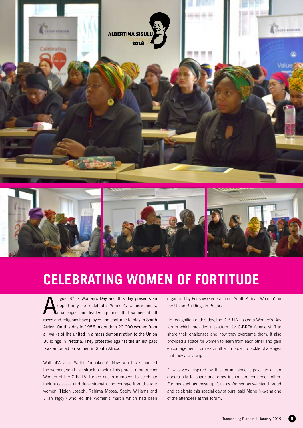

### **CELEBRATING WOMEN OF FORTITUDE**

Ugust 9<sup>th</sup> is Women's Day and this day presents an opportunity to celebrate Women's achievements, challenges and leadership roles that women of all opportunity to celebrate Women's achievements, races and religions have played and continue to play in South Africa. On this day in 1956, more than 20 000 women from all walks of life united in a mass demonstration to the Union Buildings in Pretoria. They protested against the unjust pass laws enforced on women in South Africa.

Wathint'Abafazi Wathint'imbokodo! (Now you have touched the women, you have struck a rock.) This phrase rang true as Women of the C-BRTA, turned out in numbers, to celebrate their successes and draw strength and courage from the four women (Helen Joseph, Rahima Moosa, Sophy Williams and Lilian Ngoyi) who led the Women's march which had been organized by Fedsaw (Federation of South African Women) on the Union Buildings in Pretoria.

 In recognition of this day, the C-BRTA hosted a Women's Day forum which provided a platform for C-BRTA female staff to share their challenges and how they overcame them, it also provided a space for women to learn from each other and gain encouragement from each other in order to tackle challenges that they are facing.

"I was very inspired by this forum since it gave us all an opportunity to share and draw inspiration from each other. Forums such as these uplift us as Women as we stand proud and celebrate this special day of ours, said Mpho Nkwana one of the attendees at this forum.